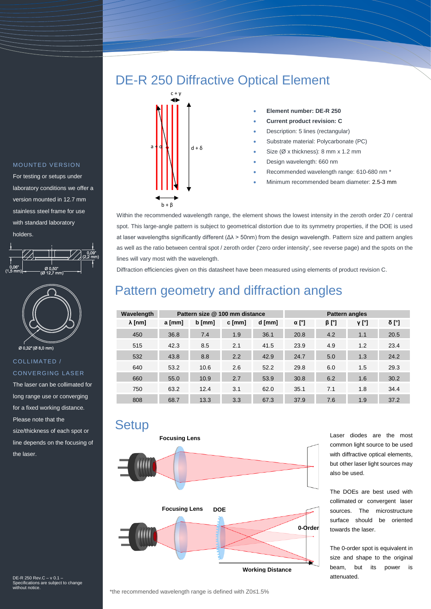### MOUNTED VERSION

For testing or setups under laboratory conditions we offer a version mounted in 12.7 mm stainless steel frame for use with standard laboratory holders.





### COLLIMATED / **CONVERGING LASER**

The laser can be collimated for long range use or converging for a fixed working distance. Please note that the size/thickness of each spot or line depends on the focusing of the laser.

DE-R 250 Rev.C – v 0.1 – Specifications are subject to change without notice.

# DE-R 250 Diffractive Optical Element



#### **Element number: DE-R 250**

- **Current product revision: C**
- Description: 5 lines (rectangular)
- Substrate material: Polycarbonate (PC)
- Size (Ø x thickness): 8 mm x 1.2 mm
- Design wavelength: 660 nm
- Recommended wavelength range: 610-680 nm \*
- Minimum recommended beam diameter: 2.5-3 mm

Within the recommended wavelength range, the element shows the lowest intensity in the zeroth order Z0 / central spot. This large-angle pattern is subject to geometrical distortion due to its symmetry properties, if the DOE is used at laser wavelengths significantly different (Δλ > 50nm) from the design wavelength. Pattern size and pattern angles as well as the ratio between central spot / zeroth order ('zero order intensity', see reverse page) and the spots on the lines will vary most with the wavelength.

Diffraction efficiencies given on this datasheet have been measured using elements of product revision C.

## Pattern geometry and diffraction angles

| Wavelength     | Pattern size @ 100 mm distance |        |        |        | <b>Pattern angles</b> |             |       |       |
|----------------|--------------------------------|--------|--------|--------|-----------------------|-------------|-------|-------|
| $\lambda$ [nm] | a [mm]                         | b [mm] | c [mm] | d [mm] | $\alpha$ [°]          | $\beta$ [°] | ν [°] | δ [°] |
| 450            | 36.8                           | 7.4    | 1.9    | 36.1   | 20.8                  | 4.2         | 1.1   | 20.5  |
| 515            | 42.3                           | 8.5    | 2.1    | 41.5   | 23.9                  | 4.9         | 1.2   | 23.4  |
| 532            | 43.8                           | 8.8    | 2.2    | 42.9   | 24.7                  | 5.0         | 1.3   | 24.2  |
| 640            | 53.2                           | 10.6   | 2.6    | 52.2   | 29.8                  | 6.0         | 1.5   | 29.3  |
| 660            | 55.0                           | 10.9   | 2.7    | 53.9   | 30.8                  | 6.2         | 1.6   | 30.2  |
| 750            | 63.2                           | 12.4   | 3.1    | 62.0   | 35.1                  | 7.1         | 1.8   | 34.4  |
| 808            | 68.7                           | 13.3   | 3.3    | 67.3   | 37.9                  | 7.6         | 1.9   | 37.2  |

### **Setup**



Laser diodes are the most common light source to be used with diffractive optical elements, but other laser light sources may also be used.

The DOEs are best used with collimated or convergent laser sources. The microstructure surface should be oriented towards the laser.

The 0-order spot is equivalent in size and shape to the original beam, but its power is attenuated.